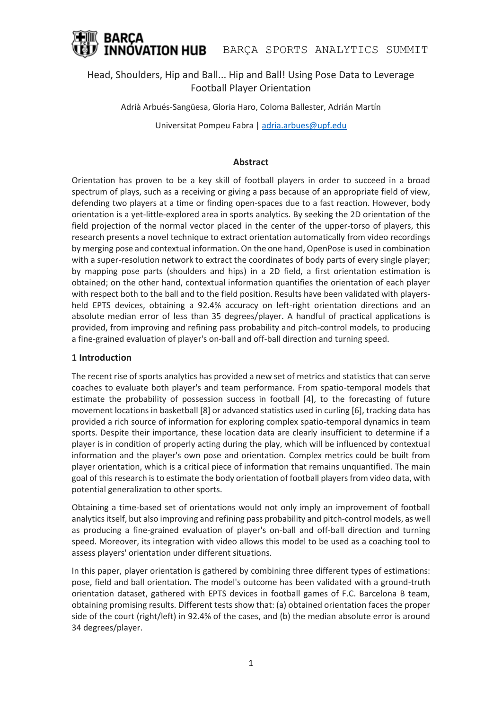

## Head, Shoulders, Hip and Ball... Hip and Ball! Using Pose Data to Leverage Football Player Orientation

Adrià Arbués-Sangüesa, Gloria Haro, Coloma Ballester, Adrián Martín

Universitat Pompeu Fabra | [adria.arbues@upf.edu](mailto:adria.arbues@upf.edu)

## **Abstract**

Orientation has proven to be a key skill of football players in order to succeed in a broad spectrum of plays, such as a receiving or giving a pass because of an appropriate field of view, defending two players at a time or finding open-spaces due to a fast reaction. However, body orientation is a yet-little-explored area in sports analytics. By seeking the 2D orientation of the field projection of the normal vector placed in the center of the upper-torso of players, this research presents a novel technique to extract orientation automatically from video recordings by merging pose and contextual information. On the one hand, OpenPose is used in combination with a super-resolution network to extract the coordinates of body parts of every single player; by mapping pose parts (shoulders and hips) in a 2D field, a first orientation estimation is obtained; on the other hand, contextual information quantifies the orientation of each player with respect both to the ball and to the field position. Results have been validated with playersheld EPTS devices, obtaining a 92.4% accuracy on left-right orientation directions and an absolute median error of less than 35 degrees/player. A handful of practical applications is provided, from improving and refining pass probability and pitch-control models, to producing a fine-grained evaluation of player's on-ball and off-ball direction and turning speed.

## **1 Introduction**

The recent rise of sports analytics has provided a new set of metrics and statistics that can serve coaches to evaluate both player's and team performance. From spatio-temporal models that estimate the probability of possession success in football [4], to the forecasting of future movement locations in basketball [8] or advanced statistics used in curling [6], tracking data has provided a rich source of information for exploring complex spatio-temporal dynamics in team sports. Despite their importance, these location data are clearly insufficient to determine if a player is in condition of properly acting during the play, which will be influenced by contextual information and the player's own pose and orientation. Complex metrics could be built from player orientation, which is a critical piece of information that remains unquantified. The main goal of this research is to estimate the body orientation of football players from video data, with potential generalization to other sports.

Obtaining a time-based set of orientations would not only imply an improvement of football analytics itself, but also improving and refining pass probability and pitch-control models, as well as producing a fine-grained evaluation of player's on-ball and off-ball direction and turning speed. Moreover, its integration with video allows this model to be used as a coaching tool to assess players' orientation under different situations.

In this paper, player orientation is gathered by combining three different types of estimations: pose, field and ball orientation. The model's outcome has been validated with a ground-truth orientation dataset, gathered with EPTS devices in football games of F.C. Barcelona B team, obtaining promising results. Different tests show that: (a) obtained orientation faces the proper side of the court (right/left) in 92.4% of the cases, and (b) the median absolute error is around 34 degrees/player.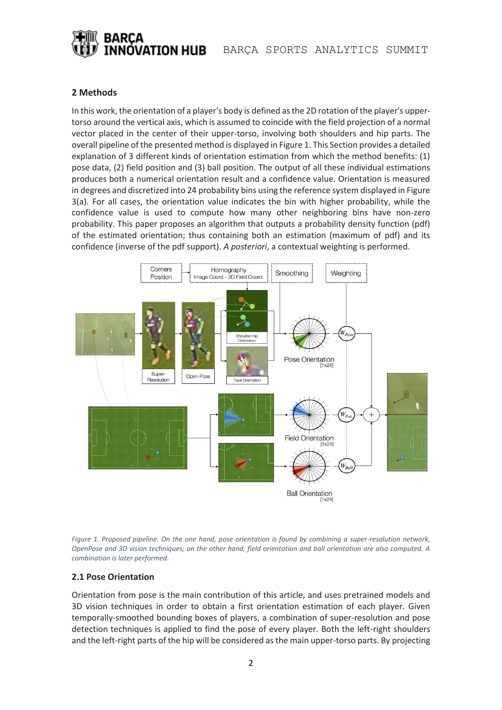

## **2 Methods**

In this work, the orientation of a player's body is defined as the 2D rotation of the player's uppertorso around the vertical axis, which is assumed to coincide with the field projection of a normal vector placed in the center of their upper-torso, involving both shoulders and hip parts. The overall pipeline of the presented method is displayed in Figure 1. This Section provides a detailed explanation of 3 different kinds of orientation estimation from which the method benefits: (1) pose data, (2) field position and (3) ball position. The output of all these individual estimations produces both a numerical orientation result and a confidence value. Orientation is measured in degrees and discretized into 24 probability bins using the reference system displayed in Figure 3(a). For all cases, the orientation value indicates the bin with higher probability, while the confidence value is used to compute how many other neighboring bins have non-zero probability. This paper proposes an algorithm that outputs a probability density function (pdf) of the estimated orientation; thus containing both an estimation (maximum of pdf) and its confidence (inverse of the pdf support). *A posteriori*, a contextual weighting is performed.





## **2.1 Pose Orientation**

Orientation from pose is the main contribution of this article, and uses pretrained models and 3D vision techniques in order to obtain a first orientation estimation of each player. Given temporally-smoothed bounding boxes of players, a combination of super-resolution and pose detection techniques is applied to find the pose of every player. Both the left-right shoulders and the left-right parts of the hip will be considered as the main upper-torso parts. By projecting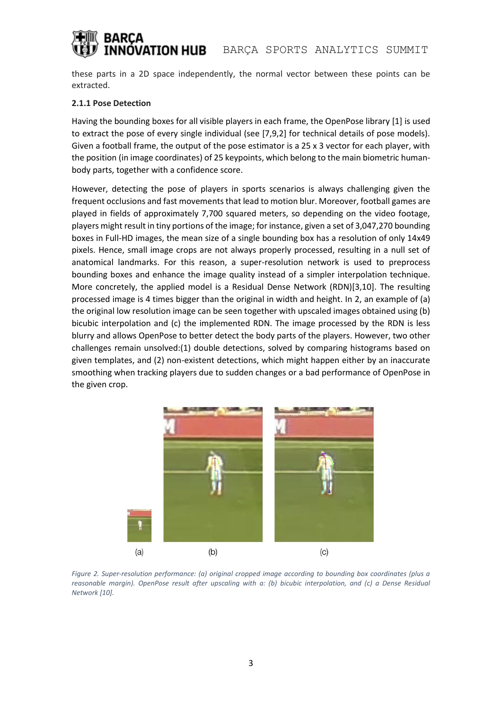# ÓVATION HUB

these parts in a 2D space independently, the normal vector between these points can be extracted.

## **2.1.1 Pose Detection**

Having the bounding boxes for all visible players in each frame, the OpenPose library [1] is used to extract the pose of every single individual (see [7,9,2] for technical details of pose models). Given a football frame, the output of the pose estimator is a 25 x 3 vector for each player, with the position (in image coordinates) of 25 keypoints, which belong to the main biometric humanbody parts, together with a confidence score.

However, detecting the pose of players in sports scenarios is always challenging given the frequent occlusions and fast movements that lead to motion blur. Moreover, football games are played in fields of approximately 7,700 squared meters, so depending on the video footage, players might result in tiny portions of the image; for instance, given a set of 3,047,270 bounding boxes in Full-HD images, the mean size of a single bounding box has a resolution of only 14x49 pixels. Hence, small image crops are not always properly processed, resulting in a null set of anatomical landmarks. For this reason, a super-resolution network is used to preprocess bounding boxes and enhance the image quality instead of a simpler interpolation technique. More concretely, the applied model is a Residual Dense Network (RDN)[3,10]. The resulting processed image is 4 times bigger than the original in width and height. In 2, an example of (a) the original low resolution image can be seen together with upscaled images obtained using (b) bicubic interpolation and (c) the implemented RDN. The image processed by the RDN is less blurry and allows OpenPose to better detect the body parts of the players. However, two other challenges remain unsolved:(1) double detections, solved by comparing histograms based on given templates, and (2) non-existent detections, which might happen either by an inaccurate smoothing when tracking players due to sudden changes or a bad performance of OpenPose in the given crop.



*Figure 2. Super-resolution performance: (a) original cropped image according to bounding box coordinates (plus a reasonable margin). OpenPose result after upscaling with a: (b) bicubic interpolation, and (c) a Dense Residual Network [10].*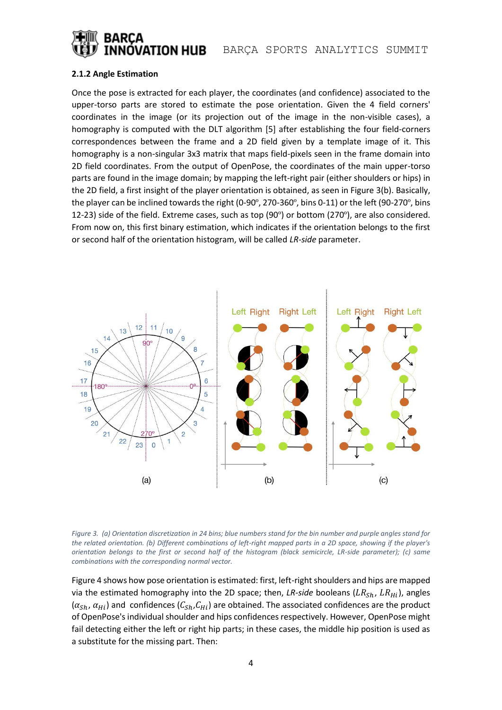

## **2.1.2 Angle Estimation**

Once the pose is extracted for each player, the coordinates (and confidence) associated to the upper-torso parts are stored to estimate the pose orientation. Given the 4 field corners' coordinates in the image (or its projection out of the image in the non-visible cases), a homography is computed with the DLT algorithm [5] after establishing the four field-corners correspondences between the frame and a 2D field given by a template image of it. This homography is a non-singular 3x3 matrix that maps field-pixels seen in the frame domain into 2D field coordinates. From the output of OpenPose, the coordinates of the main upper-torso parts are found in the image domain; by mapping the left-right pair (either shoulders or hips) in the 2D field, a first insight of the player orientation is obtained, as seen in Figure 3(b). Basically, the player can be inclined towards the right (0-90º, 270-360º, bins 0-11) or the left (90-270º, bins 12-23) side of the field. Extreme cases, such as top (90º) or bottom (270º), are also considered. From now on, this first binary estimation, which indicates if the orientation belongs to the first or second half of the orientation histogram, will be called *LR-side* parameter.



*Figure 3. (a) Orientation discretization in 24 bins; blue numbers stand for the bin number and purple angles stand for the related orientation. (b) Different combinations of left-right mapped parts in a 2D space, showing if the player's orientation belongs to the first or second half of the histogram (black semicircle, LR-side parameter); (c) same combinations with the corresponding normal vector.* 

Figure 4 shows how pose orientation is estimated: first, left-right shoulders and hips are mapped via the estimated homography into the 2D space; then, *LR-side* booleans ( $LR_{Sh}$ ,  $LR_{Hi}$ ), angles  $(\alpha_{Sh}, \alpha_{Hi})$  and confidences  $(C_{Sh}, C_{Hi})$  are obtained. The associated confidences are the product of OpenPose'sindividual shoulder and hips confidences respectively. However, OpenPose might fail detecting either the left or right hip parts; in these cases, the middle hip position is used as a substitute for the missing part. Then: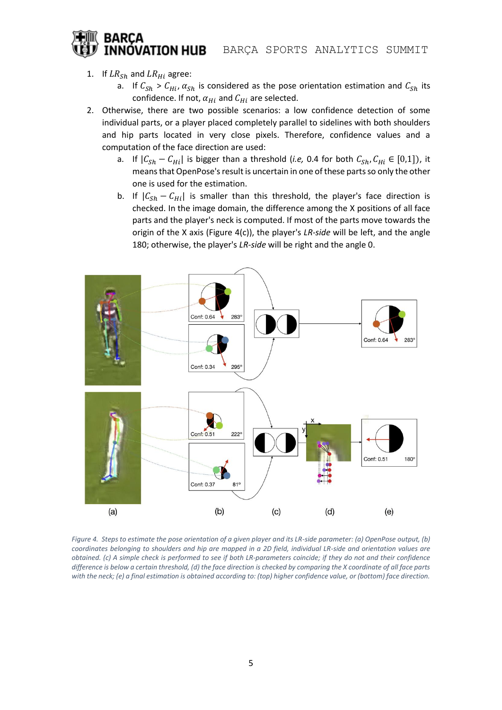## **BARCA** INNÓVATION HUB

## 1. If  $LR_{Sh}$  and  $LR_{Hi}$  agree:

- a. If  $C_{Sh} > C_{Hi}$ ,  $\alpha_{Sh}$  is considered as the pose orientation estimation and  $C_{Sh}$  its confidence. If not,  $\alpha_{Hi}$  and  $C_{Hi}$  are selected.
- 2. Otherwise, there are two possible scenarios: a low confidence detection of some individual parts, or a player placed completely parallel to sidelines with both shoulders and hip parts located in very close pixels. Therefore, confidence values and a computation of the face direction are used:
	- a. If  $|C_{Sh} C_{Hi}|$  is bigger than a threshold (*i.e,* 0.4 for both  $C_{Sh}$ ,  $C_{Hi} \in [0,1]$ ), it means that OpenPose's result is uncertain in one of these parts so only the other one is used for the estimation.
	- b. If  $|C_{Sh} C_{Hi}|$  is smaller than this threshold, the player's face direction is checked. In the image domain, the difference among the X positions of all face parts and the player's neck is computed. If most of the parts move towards the origin of the X axis (Figure 4(c)), the player's *LR-side* will be left, and the angle 180; otherwise, the player's *LR-side* will be right and the angle 0.



*Figure 4. Steps to estimate the pose orientation of a given player and its LR-side parameter: (a) OpenPose output, (b) coordinates belonging to shoulders and hip are mapped in a 2D field, individual LR-side and orientation values are obtained. (c) A simple check is performed to see if both LR-parameters coincide; if they do not and their confidence difference is below a certain threshold, (d) the face direction is checked by comparing the X coordinate of all face parts with the neck; (e) a final estimation is obtained according to: (top) higher confidence value, or (bottom) face direction.*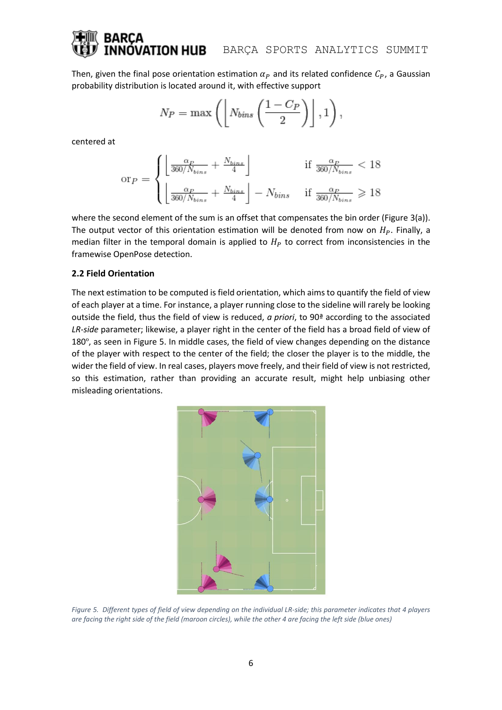# **ATION HUB** BARÇA SPORTS ANALYTICS SUMMIT

Then, given the final pose orientation estimation  $\alpha_p$  and its related confidence  $C_p$ , a Gaussian probability distribution is located around it, with effective support

$$
N_P = \max\left(\left\lfloor N_{bins}\left(\frac{1-C_P}{2}\right)\right\rfloor, 1\right),\,
$$

centered at

$$
\text{or}_{P} = \begin{cases} \left\lfloor \frac{\alpha_{P}}{360/N_{bins}} + \frac{N_{bins}}{4} \right\rfloor & \text{if } \frac{\alpha_{P}}{360/N_{bins}} < 18\\ \left\lfloor \frac{\alpha_{P}}{360/N_{bins}} + \frac{N_{bins}}{4} \right\rfloor - N_{bins} & \text{if } \frac{\alpha_{P}}{360/N_{bins}} \geq 18 \end{cases}
$$

where the second element of the sum is an offset that compensates the bin order (Figure 3(a)). The output vector of this orientation estimation will be denoted from now on  $H<sub>p</sub>$ . Finally, a median filter in the temporal domain is applied to  $H<sub>P</sub>$  to correct from inconsistencies in the framewise OpenPose detection.

## **2.2 Field Orientation**

The next estimation to be computed is field orientation, which aims to quantify the field of view of each player at a time. For instance, a player running close to the sideline will rarely be looking outside the field, thus the field of view is reduced, *a priori*, to 90ª according to the associated *LR-side* parameter; likewise, a player right in the center of the field has a broad field of view of 180º, as seen in Figure 5. In middle cases, the field of view changes depending on the distance of the player with respect to the center of the field; the closer the player is to the middle, the wider the field of view. In real cases, players move freely, and their field of view is not restricted, so this estimation, rather than providing an accurate result, might help unbiasing other misleading orientations.



*Figure 5. Different types of field of view depending on the individual LR-side; this parameter indicates that 4 players are facing the right side of the field (maroon circles), while the other 4 are facing the left side (blue ones)*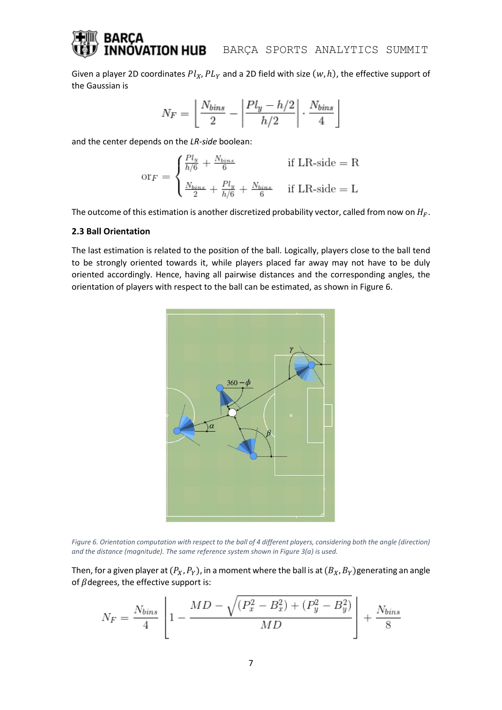Given a player 2D coordinates  $Pl_X, PL_Y$  and a 2D field with size  $(w, h)$ , the effective support of the Gaussian is

$$
N_F = \left\lfloor \frac{N_{bins}}{2} - \left\lfloor \frac{Pl_y - h/2}{h/2} \right\rfloor \cdot \frac{N_{bins}}{4} \right\rfloor
$$

and the center depends on the *LR-side* boolean:

$$
or_F = \begin{cases} \frac{Pl_y}{h/6} + \frac{N_{bins}}{6} & \text{if LR-side} = R\\ \frac{N_{bins}}{2} + \frac{Pl_y}{h/6} + \frac{N_{bins}}{6} & \text{if LR-side} = L \end{cases}
$$

The outcome of this estimation is another discretized probability vector, called from now on  $H_F$ .

### **2.3 Ball Orientation**

The last estimation is related to the position of the ball. Logically, players close to the ball tend to be strongly oriented towards it, while players placed far away may not have to be duly oriented accordingly. Hence, having all pairwise distances and the corresponding angles, the orientation of players with respect to the ball can be estimated, as shown in Figure 6.



*Figure 6. Orientation computation with respect to the ball of 4 different players, considering both the angle (direction) and the distance (magnitude). The same reference system shown in Figure 3(a) is used.*

Then, for a given player at  $(P_X, P_Y)$ , in a moment where the ball is at  $(B_X, B_Y)$ generating an angle of  $\beta$  degrees, the effective support is:

$$
N_F = \frac{N_{bins}}{4} \left[ 1 - \frac{MD - \sqrt{(P_x^2 - B_x^2) + (P_y^2 - B_y^2)}}{MD} \right] + \frac{N_{bins}}{8}
$$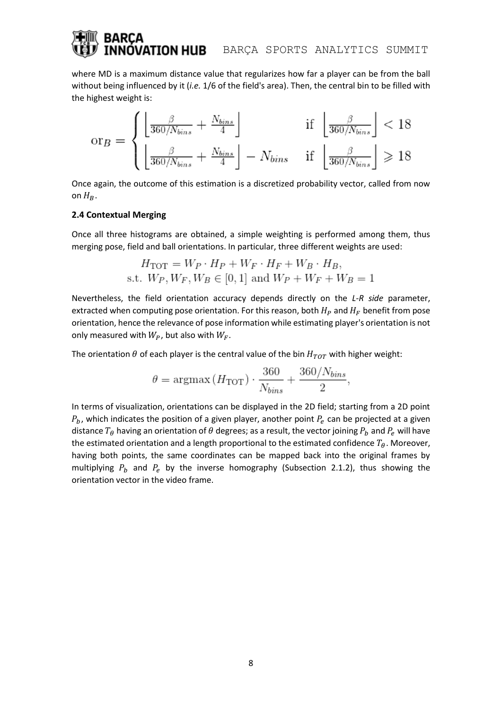## **ATION HUB** BARÇA SPORTS ANALYTICS SUMMIT

where MD is a maximum distance value that regularizes how far a player can be from the ball without being influenced by it (*i.e.* 1/6 of the field's area). Then, the central bin to be filled with the highest weight is:

$$
\text{or}_B = \begin{cases} \left\lfloor \frac{\beta}{360/N_{bins}} + \frac{N_{bins}}{4} \right\rfloor & \text{if } \left\lfloor \frac{\beta}{360/N_{bins}} \right\rfloor < 18\\ \left\lfloor \frac{\beta}{360/N_{bins}} + \frac{N_{bins}}{4} \right\rfloor - N_{bins} & \text{if } \left\lfloor \frac{\beta}{360/N_{bins}} \right\rfloor \geq 18 \end{cases}
$$

Once again, the outcome of this estimation is a discretized probability vector, called from now on  $H_B$ .

### **2.4 Contextual Merging**

Once all three histograms are obtained, a simple weighting is performed among them, thus merging pose, field and ball orientations. In particular, three different weights are used:

$$
H_{\text{TOT}} = W_P \cdot H_P + W_F \cdot H_F + W_B \cdot H_B,
$$
  
s.t.  $W_P, W_F, W_B \in [0, 1]$  and  $W_P + W_F + W_B = 1$ 

Nevertheless, the field orientation accuracy depends directly on the *L-R side* parameter, extracted when computing pose orientation. For this reason, both  $H<sub>P</sub>$  and  $H<sub>F</sub>$  benefit from pose orientation, hence the relevance of pose information while estimating player's orientation is not only measured with  $W_P$ , but also with  $W_F$ .

The orientation  $\theta$  of each player is the central value of the bin  $H_{TOT}$  with higher weight:

$$
\theta = \operatorname{argmax} (H_{\text{TOT}}) \cdot \frac{360}{N_{bins}} + \frac{360/N_{bins}}{2},
$$

In terms of visualization, orientations can be displayed in the 2D field; starting from a 2D point  $P_b$ , which indicates the position of a given player, another point  $P_e$  can be projected at a given distance  $T_{\theta}$  having an orientation of  $\theta$  degrees; as a result, the vector joining  $P_b$  and  $P_e$  will have the estimated orientation and a length proportional to the estimated confidence  $T_{\theta}$ . Moreover, having both points, the same coordinates can be mapped back into the original frames by multiplying  $P_b$  and  $P_e$  by the inverse homography (Subsection 2.1.2), thus showing the orientation vector in the video frame.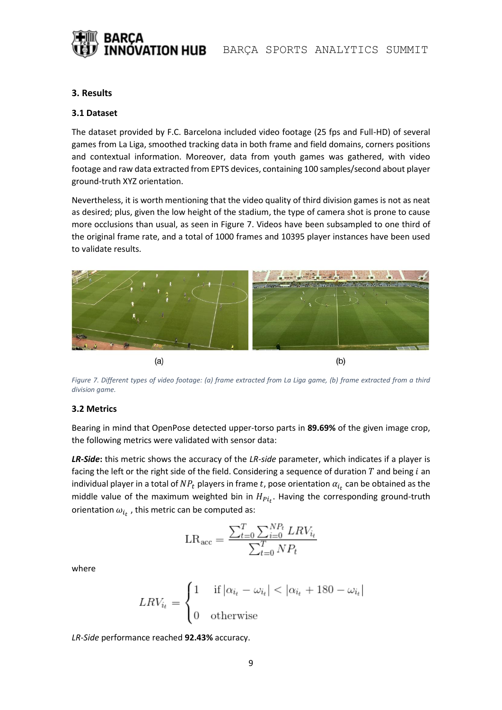

## **3. Results**

## **3.1 Dataset**

The dataset provided by F.C. Barcelona included video footage (25 fps and Full-HD) of several games from La Liga, smoothed tracking data in both frame and field domains, corners positions and contextual information. Moreover, data from youth games was gathered, with video footage and raw data extracted from EPTS devices, containing 100 samples/second about player ground-truth XYZ orientation.

Nevertheless, it is worth mentioning that the video quality of third division games is not as neat as desired; plus, given the low height of the stadium, the type of camera shot is prone to cause more occlusions than usual, as seen in Figure 7. Videos have been subsampled to one third of the original frame rate, and a total of 1000 frames and 10395 player instances have been used to validate results.



*Figure 7. Different types of video footage: (a) frame extracted from La Liga game, (b) frame extracted from a third division game.*

## **3.2 Metrics**

Bearing in mind that OpenPose detected upper-torso parts in **89.69%** of the given image crop, the following metrics were validated with sensor data:

*LR-Side***:** this metric shows the accuracy of the *LR-side* parameter, which indicates if a player is facing the left or the right side of the field. Considering a sequence of duration  $T$  and being  $i$  an individual player in a total of  $NP_t$  players in frame  $t$ , pose orientation  $\alpha_{i_t}$  can be obtained as the middle value of the maximum weighted bin in  $H_{Pi_t}$ . Having the corresponding ground-truth orientation  $\omega_{i_t}$  , this metric can be computed as:

$$
\text{LR}_{\text{acc}} = \frac{\sum_{t=0}^{T} \sum_{i=0}^{NP_t} LRV_{i_t}}{\sum_{t=0}^{T} NP_t}
$$

where

$$
LRV_{i_t} = \begin{cases} 1 & \text{if } |\alpha_{i_t} - \omega_{i_t}| < |\alpha_{i_t} + 180 - \omega_{i_t}| \\ 0 & \text{otherwise} \end{cases}
$$

*LR-Side* performance reached **92.43%** accuracy.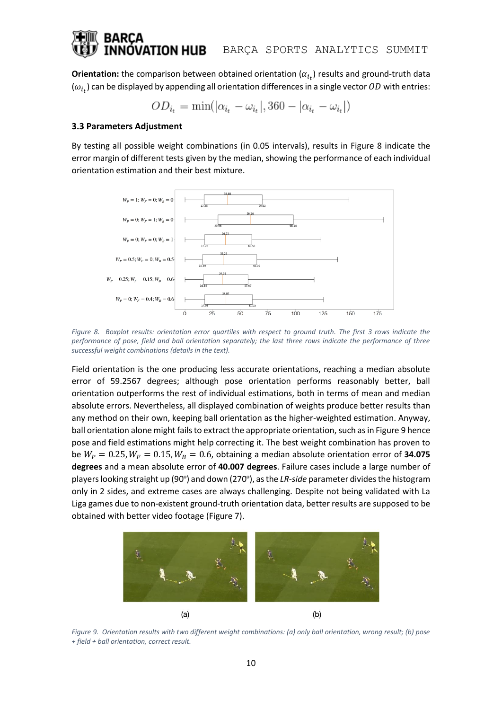## /ATION HUB BARÇA SPORTS ANALYTICS SUMMIT

**Orientation:** the comparison between obtained orientation  $(\alpha_{i_t})$  results and ground-truth data  $(\omega_{i_t})$  can be displayed by appending all orientation differences in a single vector  $OD$  with entries:

$$
OD_{i_t} = \min(|\alpha_{i_t} - \omega_{i_t}|, 360 - |\alpha_{i_t} - \omega_{i_t}|)
$$

#### **3.3 Parameters Adjustment**

By testing all possible weight combinations (in 0.05 intervals), results in Figure 8 indicate the error margin of different tests given by the median, showing the performance of each individual orientation estimation and their best mixture.



*Figure 8. Boxplot results: orientation error quartiles with respect to ground truth. The first 3 rows indicate the performance of pose, field and ball orientation separately; the last three rows indicate the performance of three successful weight combinations (details in the text).*

Field orientation is the one producing less accurate orientations, reaching a median absolute error of 59.2567 degrees; although pose orientation performs reasonably better, ball orientation outperforms the rest of individual estimations, both in terms of mean and median absolute errors. Nevertheless, all displayed combination of weights produce better results than any method on their own, keeping ball orientation as the higher-weighted estimation. Anyway, ball orientation alone might fails to extract the appropriate orientation, such as in Figure 9 hence pose and field estimations might help correcting it. The best weight combination has proven to be  $W_P = 0.25$ ,  $W_F = 0.15$ ,  $W_B = 0.6$ , obtaining a median absolute orientation error of **34.075 degrees** and a mean absolute error of **40.007 degrees**. Failure cases include a large number of players looking straight up (90º) and down (270º), as the *LR-side* parameter divides the histogram only in 2 sides, and extreme cases are always challenging. Despite not being validated with La Liga games due to non-existent ground-truth orientation data, better results are supposed to be obtained with better video footage (Figure 7).



*Figure 9. Orientation results with two different weight combinations: (a) only ball orientation, wrong result; (b) pose + field + ball orientation, correct result.*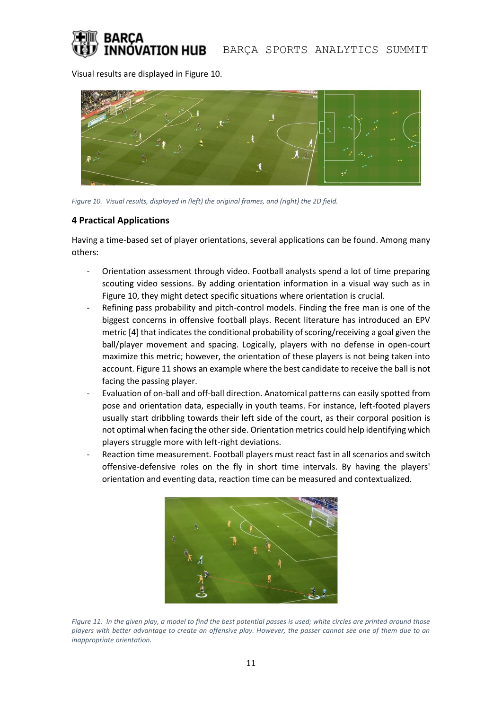

Visual results are displayed in Figure 10.



*Figure 10. Visual results, displayed in (left) the original frames, and (right) the 2D field.*

## **4 Practical Applications**

Having a time-based set of player orientations, several applications can be found. Among many others:

- Orientation assessment through video. Football analysts spend a lot of time preparing scouting video sessions. By adding orientation information in a visual way such as in Figure 10, they might detect specific situations where orientation is crucial.
- Refining pass probability and pitch-control models. Finding the free man is one of the biggest concerns in offensive football plays. Recent literature has introduced an EPV metric [4] that indicates the conditional probability of scoring/receiving a goal given the ball/player movement and spacing. Logically, players with no defense in open-court maximize this metric; however, the orientation of these players is not being taken into account. Figure 11 shows an example where the best candidate to receive the ball is not facing the passing player.
- Evaluation of on-ball and off-ball direction. Anatomical patterns can easily spotted from pose and orientation data, especially in youth teams. For instance, left-footed players usually start dribbling towards their left side of the court, as their corporal position is not optimal when facing the other side. Orientation metrics could help identifying which players struggle more with left-right deviations.
- Reaction time measurement. Football players must react fast in all scenarios and switch offensive-defensive roles on the fly in short time intervals. By having the players' orientation and eventing data, reaction time can be measured and contextualized.



*Figure 11. In the given play, a model to find the best potential passes is used; white circles are printed around those players with better advantage to create an offensive play. However, the passer cannot see one of them due to an inappropriate orientation.*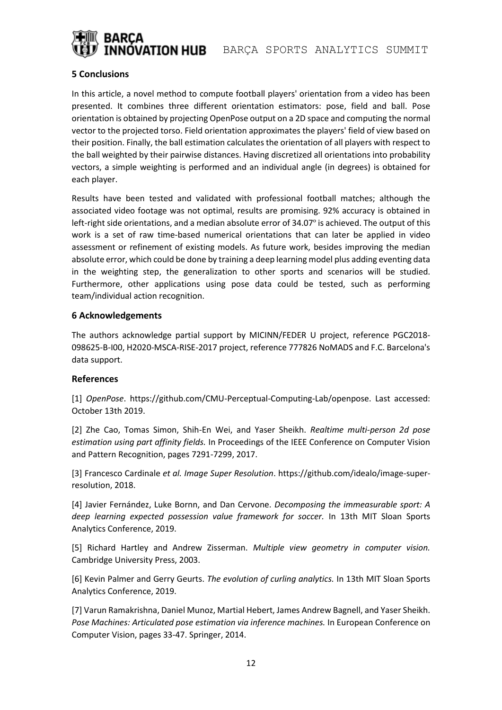

## **5 Conclusions**

In this article, a novel method to compute football players' orientation from a video has been presented. It combines three different orientation estimators: pose, field and ball. Pose orientation is obtained by projecting OpenPose output on a 2D space and computing the normal vector to the projected torso. Field orientation approximates the players' field of view based on their position. Finally, the ball estimation calculates the orientation of all players with respect to the ball weighted by their pairwise distances. Having discretized all orientations into probability vectors, a simple weighting is performed and an individual angle (in degrees) is obtained for each player.

Results have been tested and validated with professional football matches; although the associated video footage was not optimal, results are promising. 92% accuracy is obtained in left-right side orientations, and a median absolute error of 34.07º is achieved. The output of this work is a set of raw time-based numerical orientations that can later be applied in video assessment or refinement of existing models. As future work, besides improving the median absolute error, which could be done by training a deep learning model plus adding eventing data in the weighting step, the generalization to other sports and scenarios will be studied. Furthermore, other applications using pose data could be tested, such as performing team/individual action recognition.

## **6 Acknowledgements**

The authors acknowledge partial support by MICINN/FEDER U project, reference PGC2018- 098625-B-I00, H2020-MSCA-RISE-2017 project, reference 777826 NoMADS and F.C. Barcelona's data support.

## **References**

[1] *OpenPose*. https://github.com/CMU-Perceptual-Computing-Lab/openpose. Last accessed: October 13th 2019.

[2] Zhe Cao, Tomas Simon, Shih-En Wei, and Yaser Sheikh. *Realtime multi-person 2d pose estimation using part affinity fields.* In Proceedings of the IEEE Conference on Computer Vision and Pattern Recognition, pages 7291-7299, 2017.

[3] Francesco Cardinale *et al. Image Super Resolution*. https://github.com/idealo/image-superresolution, 2018.

[4] Javier Fernández, Luke Bornn, and Dan Cervone. *Decomposing the immeasurable sport: A deep learning expected possession value framework for soccer.* In 13th MIT Sloan Sports Analytics Conference, 2019.

[5] Richard Hartley and Andrew Zisserman. *Multiple view geometry in computer vision.*  Cambridge University Press, 2003.

[6] Kevin Palmer and Gerry Geurts. *The evolution of curling analytics.* In 13th MIT Sloan Sports Analytics Conference, 2019.

[7] Varun Ramakrishna, Daniel Munoz, Martial Hebert, James Andrew Bagnell, and Yaser Sheikh. *Pose Machines: Articulated pose estimation via inference machines.* In European Conference on Computer Vision, pages 33-47. Springer, 2014.